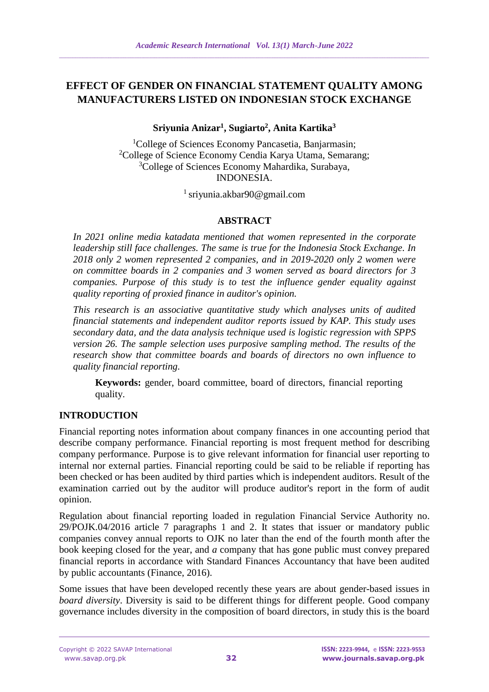# **EFFECT OF GENDER ON FINANCIAL STATEMENT QUALITY AMONG MANUFACTURERS LISTED ON INDONESIAN STOCK EXCHANGE**

# **Sriyunia Anizar<sup>1</sup> , Sugiarto<sup>2</sup> , Anita Kartika<sup>3</sup>**

<sup>1</sup>College of Sciences Economy Pancasetia, Banjarmasin; <sup>2</sup>College of Science Economy Cendia Karya Utama, Semarang; <sup>3</sup>College of Sciences Economy Mahardika, Surabaya, INDONESIA.

<sup>1</sup> sriyunia.akbar90@gmail.com

# **ABSTRACT**

*In 2021 online media katadata mentioned that women represented in the corporate leadership still face challenges. The same is true for the Indonesia Stock Exchange. In 2018 only 2 women represented 2 companies, and in 2019-2020 only 2 women were on committee boards in 2 companies and 3 women served as board directors for 3 companies. Purpose of this study is to test the influence gender equality against quality reporting of proxied finance in auditor's opinion.*

*This research is an associative quantitative study which analyses units of audited financial statements and independent auditor reports issued by KAP. This study uses secondary data, and the data analysis technique used is logistic regression with SPPS version 26. The sample selection uses purposive sampling method. The results of the research show that committee boards and boards of directors no own influence to quality financial reporting.*

**Keywords:** gender, board committee, board of directors, financial reporting quality.

# **INTRODUCTION**

Financial reporting notes information about company finances in one accounting period that describe company performance. Financial reporting is most frequent method for describing company performance. Purpose is to give relevant information for financial user reporting to internal nor external parties. Financial reporting could be said to be reliable if reporting has been checked or has been audited by third parties which is independent auditors. Result of the examination carried out by the auditor will produce auditor's report in the form of audit opinion.

Regulation about financial reporting loaded in regulation Financial Service Authority no. 29/POJK.04/2016 article 7 paragraphs 1 and 2. It states that issuer or mandatory public companies convey annual reports to OJK no later than the end of the fourth month after the book keeping closed for the year, and *a* company that has gone public must convey prepared financial reports in accordance with Standard Finances Accountancy that have been audited by public accountants (Finance, 2016).

Some issues that have been developed recently these years are about gender-based issues in *board diversity*. Diversity is said to be different things for different people. Good company governance includes diversity in the composition of board directors, in study this is the board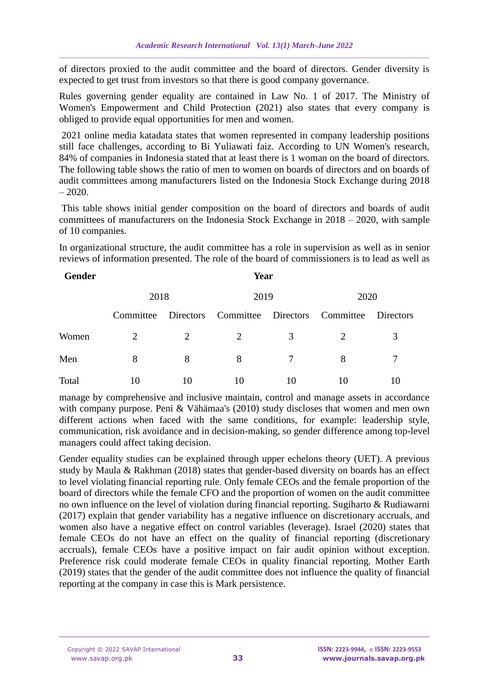of directors proxied to the audit committee and the board of directors. Gender diversity is expected to get trust from investors so that there is good company governance.

Rules governing gender equality are contained in Law No. 1 of 2017. The Ministry of Women's Empowerment and Child Protection (2021) also states that every company is obliged to provide equal opportunities for men and women.

2021 online media katadata states that women represented in company leadership positions still face challenges, according to Bi Yuliawati faiz. According to UN Women's research, 84% of companies in Indonesia stated that at least there is 1 woman on the board of directors. The following table shows the ratio of men to women on boards of directors and on boards of audit committees among manufacturers listed on the Indonesia Stock Exchange during 2018  $-2020.$ 

This table shows initial gender composition on the board of directors and boards of audit committees of manufacturers on the Indonesia Stock Exchange in 2018 – 2020, with sample of 10 companies.

In organizational structure, the audit committee has a role in supervision as well as in senior reviews of information presented. The role of the board of commissioners is to lead as well as

| <b>Gender</b> | Year      |    |                                                   |    |      |  |  |  |  |
|---------------|-----------|----|---------------------------------------------------|----|------|--|--|--|--|
|               | 2018      |    | 2019                                              |    | 2020 |  |  |  |  |
|               | Committee |    | Directors Committee Directors Committee Directors |    |      |  |  |  |  |
| Women         | 2         | 2  | 2                                                 | 3  |      |  |  |  |  |
| Men           | 8         | 8  | 8                                                 |    | 8    |  |  |  |  |
| Total         | 10        | 10 | 10                                                | 10 | 10   |  |  |  |  |

manage by comprehensive and inclusive maintain, control and manage assets in accordance with company purpose. Peni & Vähämaa's (2010) study discloses that women and men own different actions when faced with the same conditions, for example: leadership style, communication, risk avoidance and in decision-making, so gender difference among top-level managers could affect taking decision.

Gender equality studies can be explained through upper echelons theory (UET). A previous study by Maula & Rakhman (2018) states that gender-based diversity on boards has an effect to level violating financial reporting rule. Only female CEOs and the female proportion of the board of directors while the female CFO and the proportion of women on the audit committee no own influence on the level of violation during financial reporting. Sugiharto & Rudiawarni (2017) explain that gender variability has a negative influence on discretionary accruals, and women also have a negative effect on control variables (leverage). Israel (2020) states that female CEOs do not have an effect on the quality of financial reporting (discretionary accruals), female CEOs have a positive impact on fair audit opinion without exception. Preference risk could moderate female CEOs in quality financial reporting. Mother Earth (2019) states that the gender of the audit committee does not influence the quality of financial reporting at the company in case this is Mark persistence.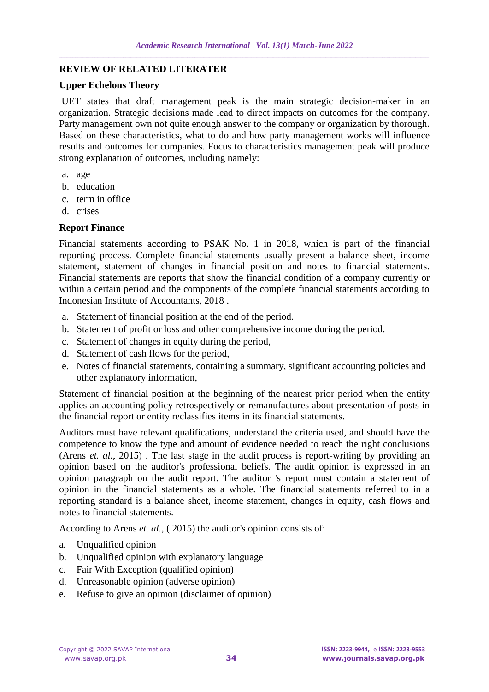## **REVIEW OF RELATED LITERATER**

#### **Upper Echelons Theory**

UET states that draft management peak is the main strategic decision-maker in an organization. Strategic decisions made lead to direct impacts on outcomes for the company. Party management own not quite enough answer to the company or organization by thorough. Based on these characteristics, what to do and how party management works will influence results and outcomes for companies. Focus to characteristics management peak will produce strong explanation of outcomes, including namely:

- a. age
- b. education
- c. term in office
- d. crises

#### **Report Finance**

Financial statements according to PSAK No. 1 in 2018, which is part of the financial reporting process. Complete financial statements usually present a balance sheet, income statement, statement of changes in financial position and notes to financial statements. Financial statements are reports that show the financial condition of a company currently or within a certain period and the components of the complete financial statements according to Indonesian Institute of Accountants, 2018 .

- a. Statement of financial position at the end of the period.
- b. Statement of profit or loss and other comprehensive income during the period.
- c. Statement of changes in equity during the period,
- d. Statement of cash flows for the period,
- e. Notes of financial statements, containing a summary, significant accounting policies and other explanatory information,

Statement of financial position at the beginning of the nearest prior period when the entity applies an accounting policy retrospectively or remanufactures about presentation of posts in the financial report or entity reclassifies items in its financial statements.

Auditors must have relevant qualifications, understand the criteria used, and should have the competence to know the type and amount of evidence needed to reach the right conclusions (Arens *et. al.*, 2015) . The last stage in the audit process is report-writing by providing an opinion based on the auditor's professional beliefs. The audit opinion is expressed in an opinion paragraph on the audit report. The auditor 's report must contain a statement of opinion in the financial statements as a whole. The financial statements referred to in a reporting standard is a balance sheet, income statement, changes in equity, cash flows and notes to financial statements.

According to Arens *et. al.*, ( 2015) the auditor's opinion consists of:

- a. Unqualified opinion
- b. Unqualified opinion with explanatory language
- c. Fair With Exception (qualified opinion)
- d. Unreasonable opinion (adverse opinion)
- e. Refuse to give an opinion (disclaimer of opinion)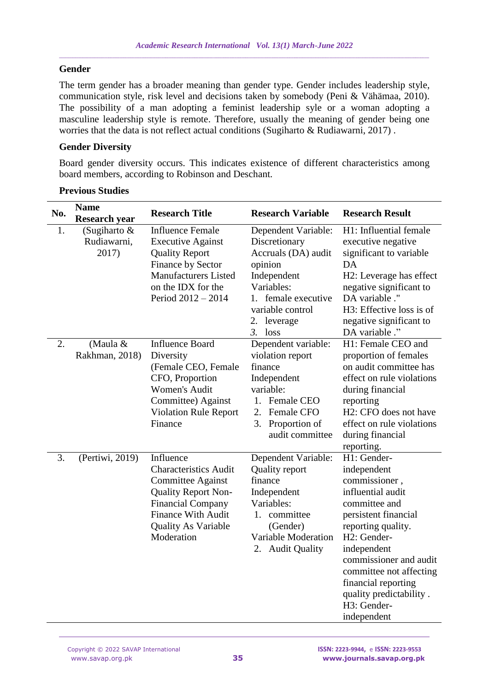#### **Gender**

The term gender has a broader meaning than gender type. Gender includes leadership style, communication style, risk level and decisions taken by somebody (Peni & Vähämaa, 2010). The possibility of a man adopting a feminist leadership syle or a woman adopting a masculine leadership style is remote. Therefore, usually the meaning of gender being one worries that the data is not reflect actual conditions (Sugiharto & Rudiawarni, 2017) .

#### **Gender Diversity**

Board gender diversity occurs. This indicates existence of different characteristics among board members, according to Robinson and Deschant.

| No. | <b>Name</b><br><b>Research year</b>  | <b>Research Title</b>                                                                                                                                                                                    | <b>Research Variable</b>                                                                                                                                                   | <b>Research Result</b>                                                                                                                                                                                                                                                                             |
|-----|--------------------------------------|----------------------------------------------------------------------------------------------------------------------------------------------------------------------------------------------------------|----------------------------------------------------------------------------------------------------------------------------------------------------------------------------|----------------------------------------------------------------------------------------------------------------------------------------------------------------------------------------------------------------------------------------------------------------------------------------------------|
| 1.  | (Sugiharto &<br>Rudiawarni,<br>2017) | <b>Influence Female</b><br><b>Executive Against</b><br><b>Quality Report</b><br>Finance by Sector<br><b>Manufacturers Listed</b><br>on the IDX for the<br>Period 2012 - 2014                             | Dependent Variable:<br>Discretionary<br>Accruals (DA) audit<br>opinion<br>Independent<br>Variables:<br>1. female executive<br>variable control<br>2. leverage<br>$3.$ loss | H1: Influential female<br>executive negative<br>significant to variable<br>DA<br>H2: Leverage has effect<br>negative significant to<br>DA variable ."<br>H3: Effective loss is of<br>negative significant to<br>DA variable ."                                                                     |
| 2.  | (Maula &<br>Rakhman, 2018)           | <b>Influence Board</b><br>Diversity<br>(Female CEO, Female<br>CFO, Proportion<br><b>Women's Audit</b><br>Committee) Against<br><b>Violation Rule Report</b><br>Finance                                   | Dependent variable:<br>violation report<br>finance<br>Independent<br>variable:<br>1. Female CEO<br>2. Female CFO<br>3. Proportion of<br>audit committee                    | H1: Female CEO and<br>proportion of females<br>on audit committee has<br>effect on rule violations<br>during financial<br>reporting<br>H2: CFO does not have<br>effect on rule violations<br>during financial<br>reporting.                                                                        |
| 3.  | (Pertiwi, 2019)                      | Influence<br><b>Characteristics Audit</b><br><b>Committee Against</b><br><b>Quality Report Non-</b><br><b>Financial Company</b><br><b>Finance With Audit</b><br><b>Quality As Variable</b><br>Moderation | Dependent Variable:<br><b>Quality report</b><br>finance<br>Independent<br>Variables:<br>1. committee<br>(Gender)<br>Variable Moderation<br>2. Audit Quality                | H1: Gender-<br>independent<br>commissioner,<br>influential audit<br>committee and<br>persistent financial<br>reporting quality.<br>H2: Gender-<br>independent<br>commissioner and audit<br>committee not affecting<br>financial reporting<br>quality predictability.<br>H3: Gender-<br>independent |

## **Previous Studies**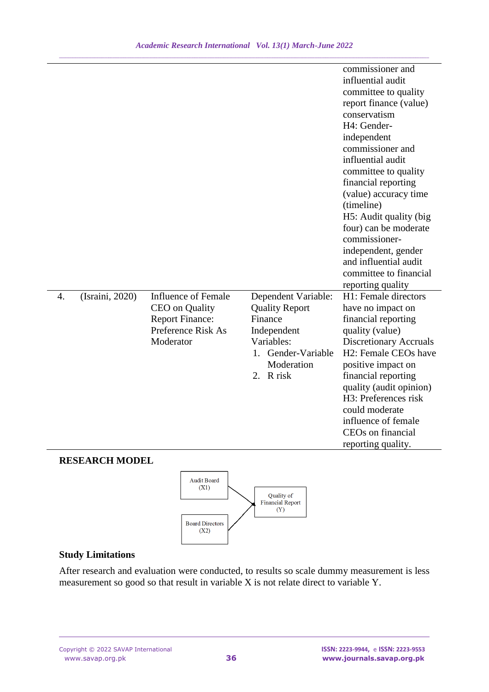|                  |                 |                                                                                                                  |                                                                                                                                          | commissioner and<br>influential audit<br>committee to quality<br>report finance (value)<br>conservatism<br>H4: Gender-<br>independent<br>commissioner and<br>influential audit<br>committee to quality<br>financial reporting<br>(value) accuracy time<br>(timeline)<br>H5: Audit quality (big<br>four) can be moderate<br>commissioner-<br>independent, gender<br>and influential audit<br>committee to financial |
|------------------|-----------------|------------------------------------------------------------------------------------------------------------------|------------------------------------------------------------------------------------------------------------------------------------------|--------------------------------------------------------------------------------------------------------------------------------------------------------------------------------------------------------------------------------------------------------------------------------------------------------------------------------------------------------------------------------------------------------------------|
| $\overline{4}$ . | (Israini, 2020) | <b>Influence of Female</b><br><b>CEO</b> on Quality<br><b>Report Finance:</b><br>Preference Risk As<br>Moderator | Dependent Variable:<br><b>Quality Report</b><br>Finance<br>Independent<br>Variables:<br>Gender-Variable<br>1.<br>Moderation<br>2. R risk | reporting quality<br>H1: Female directors<br>have no impact on<br>financial reporting<br>quality (value)<br><b>Discretionary Accruals</b><br>H2: Female CEOs have<br>positive impact on<br>financial reporting<br>quality (audit opinion)<br>H3: Preferences risk<br>could moderate<br>influence of female<br>CEOs on financial<br>reporting quality.                                                              |

## **RESEARCH MODEL**



# **Study Limitations**

After research and evaluation were conducted, to results so scale dummy measurement is less measurement so good so that result in variable X is not relate direct to variable Y.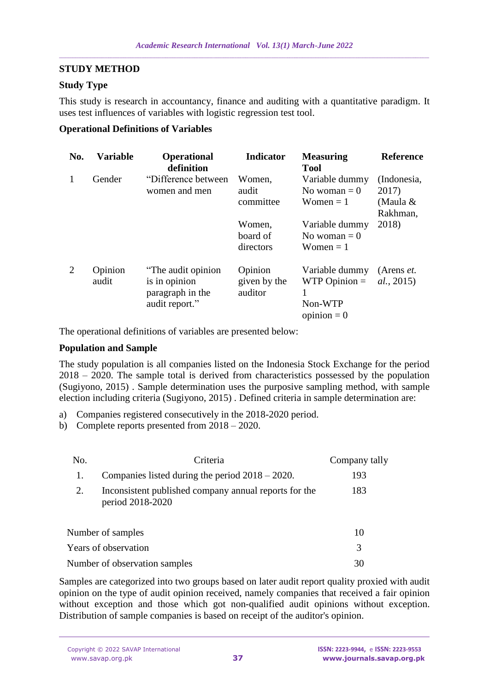## **STUDY METHOD**

## **Study Type**

This study is research in accountancy, finance and auditing with a quantitative paradigm. It uses test influences of variables with logistic regression test tool.

#### **Operational Definitions of Variables**

| No. | <b>Variable</b>  | <b>Operational</b><br>definition                                           | <b>Indicator</b>                   | <b>Measuring</b><br><b>Tool</b>                                 | <b>Reference</b>                               |
|-----|------------------|----------------------------------------------------------------------------|------------------------------------|-----------------------------------------------------------------|------------------------------------------------|
| 1   | Gender           | "Difference between"<br>women and men                                      | Women,<br>audit<br>committee       | Variable dummy<br>No woman $= 0$<br>Women $= 1$                 | (Indonesia,<br>2017)<br>(Maula $&$<br>Rakhman, |
|     |                  |                                                                            | Women,<br>board of<br>directors    | Variable dummy<br>No woman $= 0$<br>Women $= 1$                 | 2018)                                          |
| 2   | Opinion<br>audit | "The audit opinion"<br>is in opinion<br>paragraph in the<br>audit report." | Opinion<br>given by the<br>auditor | Variable dummy<br>$WTP$ Opinion $=$<br>Non-WTP<br>opinion $= 0$ | (Arens <i>et.</i> )<br>al., 2015)              |

The operational definitions of variables are presented below:

## **Population and Sample**

The study population is all companies listed on the Indonesia Stock Exchange for the period 2018 – 2020. The sample total is derived from characteristics possessed by the population (Sugiyono, 2015) . Sample determination uses the purposive sampling method, with sample election including criteria (Sugiyono, 2015) . Defined criteria in sample determination are:

- a) Companies registered consecutively in the 2018-2020 period.
- b) Complete reports presented from 2018 2020.

| No.                  | Criteria                                                                  | Company tally |
|----------------------|---------------------------------------------------------------------------|---------------|
| 1.                   | Companies listed during the period $2018 - 2020$ .                        | 193           |
| 2.                   | Inconsistent published company annual reports for the<br>period 2018-2020 | 183           |
|                      | Number of samples                                                         | 10            |
| Years of observation | 3                                                                         |               |
|                      | Number of observation samples                                             | 30            |

Samples are categorized into two groups based on later audit report quality proxied with audit opinion on the type of audit opinion received, namely companies that received a fair opinion without exception and those which got non-qualified audit opinions without exception. Distribution of sample companies is based on receipt of the auditor's opinion.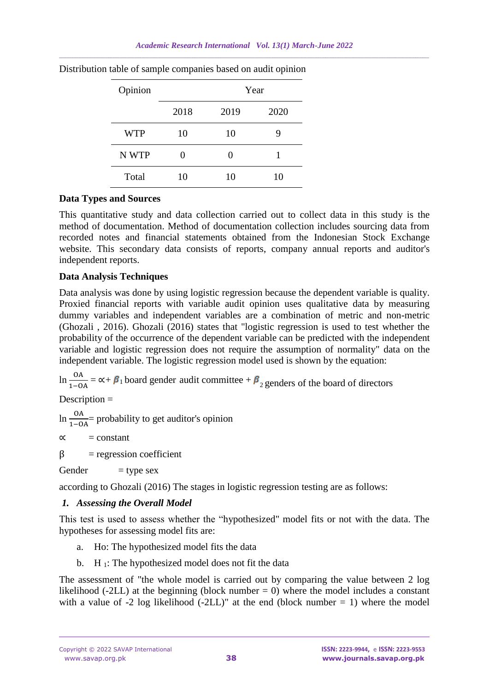| Opinion    |      |      | Year |
|------------|------|------|------|
|            | 2018 | 2019 | 2020 |
| <b>WTP</b> | 10   | 10   |      |
| N WTP      | 0    |      |      |
| Total      | 10   | 10   | 10   |

Distribution table of sample companies based on audit opinion

#### **Data Types and Sources**

This quantitative study and data collection carried out to collect data in this study is the method of documentation. Method of documentation collection includes sourcing data from recorded notes and financial statements obtained from the Indonesian Stock Exchange website. This secondary data consists of reports, company annual reports and auditor's independent reports.

## **Data Analysis Techniques**

Data analysis was done by using logistic regression because the dependent variable is quality. Proxied financial reports with variable audit opinion uses qualitative data by measuring dummy variables and independent variables are a combination of metric and non-metric (Ghozali , 2016). Ghozali (2016) states that "logistic regression is used to test whether the probability of the occurrence of the dependent variable can be predicted with the independent variable and logistic regression does not require the assumption of normality" data on the independent variable. The logistic regression model used is shown by the equation:

ln  $\frac{OA}{1-OA} = \alpha + \beta_1$  board gender audit committee +  $\beta_2$  genders of the board of directors

Description =

 $\ln \frac{OA}{1-OA}$  = probability to get auditor's opinion

 $\alpha$  = constant

 $\beta$  = regression coefficient

Gender  $=$  type sex

according to Ghozali (2016) The stages in logistic regression testing are as follows:

## *1. Assessing the Overall Model*

This test is used to assess whether the "hypothesized" model fits or not with the data. The hypotheses for assessing model fits are:

- a. Ho: The hypothesized model fits the data
- b.  $H_1$ : The hypothesized model does not fit the data

The assessment of "the whole model is carried out by comparing the value between 2 log likelihood (-2LL) at the beginning (block number  $= 0$ ) where the model includes a constant with a value of  $-2 \log$  likelihood  $(-2LL)$ " at the end (block number = 1) where the model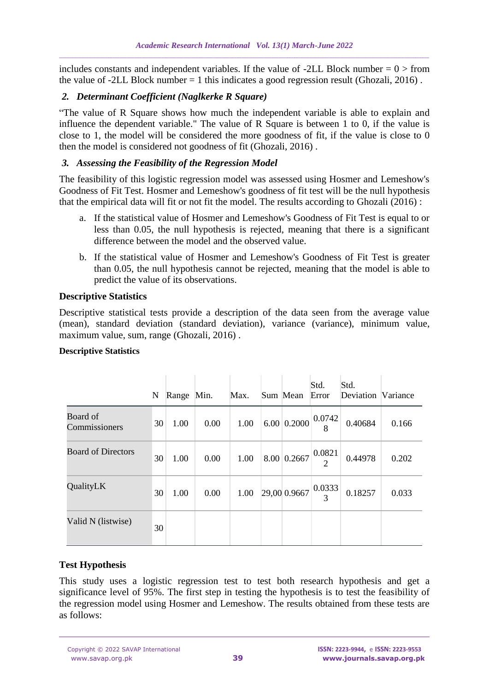includes constants and independent variables. If the value of -2LL Block number  $= 0$  > from the value of  $-2LL$  Block number  $= 1$  this indicates a good regression result (Ghozali, 2016).

## *2. Determinant Coefficient (Naglkerke R Square)*

"The value of R Square shows how much the independent variable is able to explain and influence the dependent variable." The value of R Square is between 1 to 0, if the value is close to 1, the model will be considered the more goodness of fit, if the value is close to 0 then the model is considered not goodness of fit (Ghozali, 2016) .

## *3. Assessing the Feasibility of the Regression Model*

The feasibility of this logistic regression model was assessed using Hosmer and Lemeshow's Goodness of Fit Test. Hosmer and Lemeshow's goodness of fit test will be the null hypothesis that the empirical data will fit or not fit the model. The results according to Ghozali (2016) :

- a. If the statistical value of Hosmer and Lemeshow's Goodness of Fit Test is equal to or less than 0.05, the null hypothesis is rejected, meaning that there is a significant difference between the model and the observed value.
- b. If the statistical value of Hosmer and Lemeshow's Goodness of Fit Test is greater than 0.05, the null hypothesis cannot be rejected, meaning that the model is able to predict the value of its observations.

## **Descriptive Statistics**

Descriptive statistical tests provide a description of the data seen from the average value (mean), standard deviation (standard deviation), variance (variance), minimum value, maximum value, sum, range (Ghozali, 2016) .

#### **Descriptive Statistics**

|                           | N  | Range Min. |      | Max. | Sum Mean | Std.<br>Error                                           | Std.<br>Deviation Variance |       |
|---------------------------|----|------------|------|------|----------|---------------------------------------------------------|----------------------------|-------|
| Board of<br>Commissioners | 30 | 1.00       | 0.00 | 1.00 |          | $6.00\,0.2000\,\big \frac{0.0742}{8}\big $              | 0.40684                    | 0.166 |
| <b>Board of Directors</b> | 30 | 1.00       | 0.00 | 1.00 |          | 8.00 0.2667 $\begin{array}{ c} 0.0821 \\ 2 \end{array}$ | 0.44978                    | 0.202 |
| QualityLK                 | 30 | 1.00       | 0.00 | 1.00 |          | $29,00\,0.9667\Big \frac{0.0333}{3}\Big $               | 0.18257                    | 0.033 |
| Valid N (listwise)        | 30 |            |      |      |          |                                                         |                            |       |

## **Test Hypothesis**

This study uses a logistic regression test to test both research hypothesis and get a significance level of 95%. The first step in testing the hypothesis is to test the feasibility of the regression model using Hosmer and Lemeshow. The results obtained from these tests are as follows: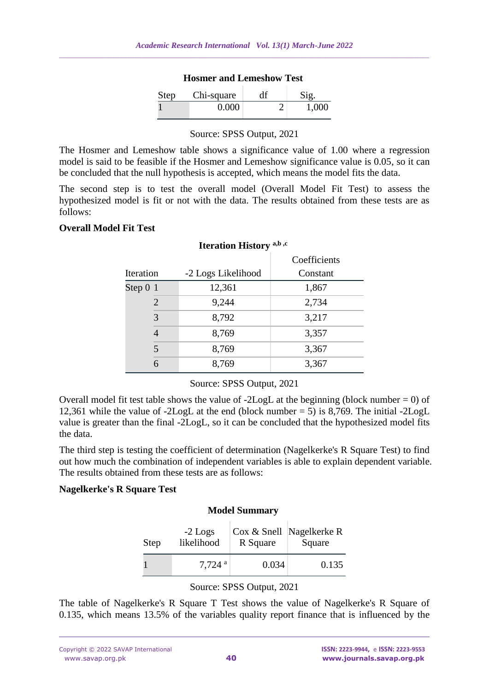| Troshiel and Lemeshow Test |            |    |       |  |  |  |  |  |
|----------------------------|------------|----|-------|--|--|--|--|--|
| <b>Step</b>                | Chi-square | df | Sig.  |  |  |  |  |  |
|                            | 0.000      |    | 1,000 |  |  |  |  |  |

**Hosmer and Lemeshow Test**

# Source: SPSS Output, 2021

The Hosmer and Lemeshow table shows a significance value of 1.00 where a regression model is said to be feasible if the Hosmer and Lemeshow significance value is 0.05, so it can be concluded that the null hypothesis is accepted, which means the model fits the data.

The second step is to test the overall model (Overall Model Fit Test) to assess the hypothesized model is fit or not with the data. The results obtained from these tests are as follows:

#### **Overall Model Fit Test**

| $\frac{1}{2}$ |                    |              |  |  |  |  |  |
|---------------|--------------------|--------------|--|--|--|--|--|
|               |                    | Coefficients |  |  |  |  |  |
| Iteration     | -2 Logs Likelihood | Constant     |  |  |  |  |  |
| Step $01$     | 12,361             | 1,867        |  |  |  |  |  |
| 2             | 9,244              | 2,734        |  |  |  |  |  |
| 3             | 8,792              | 3,217        |  |  |  |  |  |
| 4             | 8,769              | 3,357        |  |  |  |  |  |
| 5             | 8,769              | 3,367        |  |  |  |  |  |
| 6             | 8,769              | 3,367        |  |  |  |  |  |

#### **Iteration History a,b ,c**

Source: SPSS Output, 2021

Overall model fit test table shows the value of  $-2LogL$  at the beginning (block number = 0) of 12,361 while the value of -2LogL at the end (block number = 5) is 8,769. The initial -2LogL value is greater than the final -2LogL, so it can be concluded that the hypothesized model fits the data.

The third step is testing the coefficient of determination (Nagelkerke's R Square Test) to find out how much the combination of independent variables is able to explain dependent variable. The results obtained from these tests are as follows:

#### **Nagelkerke's R Square Test**

#### **Model Summary**

| <b>Step</b> | $-2$ Logs<br>likelihood | R Square | Cox & Snell Nagelkerke R<br>Square |  |
|-------------|-------------------------|----------|------------------------------------|--|
|             | $7.724$ <sup>a</sup>    | 0.034    | 0.135                              |  |

#### Source: SPSS Output, 2021

The table of Nagelkerke's R Square T Test shows the value of Nagelkerke's R Square of 0.135, which means 13.5% of the variables quality report finance that is influenced by the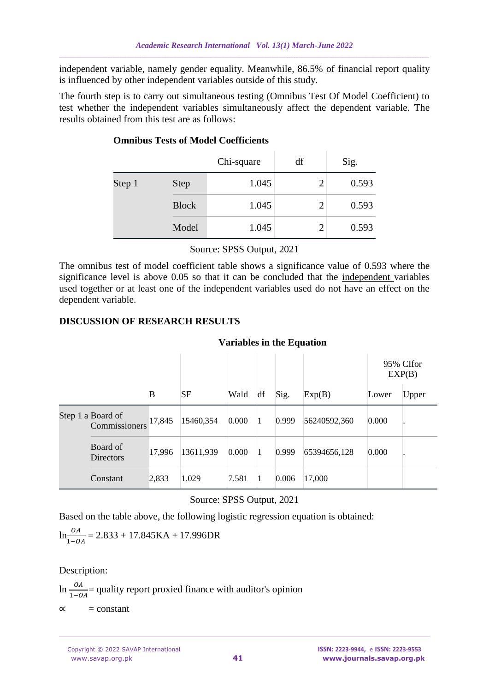independent variable, namely gender equality. Meanwhile, 86.5% of financial report quality is influenced by other independent variables outside of this study.

The fourth step is to carry out simultaneous testing (Omnibus Test Of Model Coefficient) to test whether the independent variables simultaneously affect the dependent variable. The results obtained from this test are as follows:

|        |              | Chi-square | df | Sig.  |
|--------|--------------|------------|----|-------|
| Step 1 | <b>Step</b>  | 1.045      |    | 0.593 |
|        | <b>Block</b> | 1.045      |    | 0.593 |
|        | Model        | 1.045      |    | 0.593 |

# **Omnibus Tests of Model Coefficients**

Source: SPSS Output, 2021

The omnibus test of model coefficient table shows a significance value of 0.593 where the significance level is above 0.05 so that it can be concluded that the independent variables used together or at least one of the independent variables used do not have an effect on the dependent variable.

#### **DISCUSSION OF RESEARCH RESULTS**

#### **Variables in the Equation**

|  |                                    |        |           |       |    |       |              | 95% CIfor<br>EXP(B) |       |
|--|------------------------------------|--------|-----------|-------|----|-------|--------------|---------------------|-------|
|  |                                    | B      | <b>SE</b> | Wald  | df | Sig.  | Exp(B)       | Lower               | Upper |
|  | Step 1 a Board of<br>Commissioners | 17,845 | 15460,354 | 0.000 |    | 0.999 | 56240592,360 | 0.000               |       |
|  | Board of<br><b>Directors</b>       | 17,996 | 13611,939 | 0.000 |    | 0.999 | 65394656,128 | 0.000               |       |
|  | Constant                           | 2,833  | 1.029     | 7.581 |    | 0.006 | 17,000       |                     |       |

## Source: SPSS Output, 2021

Based on the table above, the following logistic regression equation is obtained:

$$
\ln \frac{OA}{1 - OA} = 2.833 + 17.845 \text{KA} + 17.996 \text{DR}
$$

Description:

ln  $\frac{0A}{1-OA}$  = quality report proxied finance with auditor's opinion  $\alpha$  = constant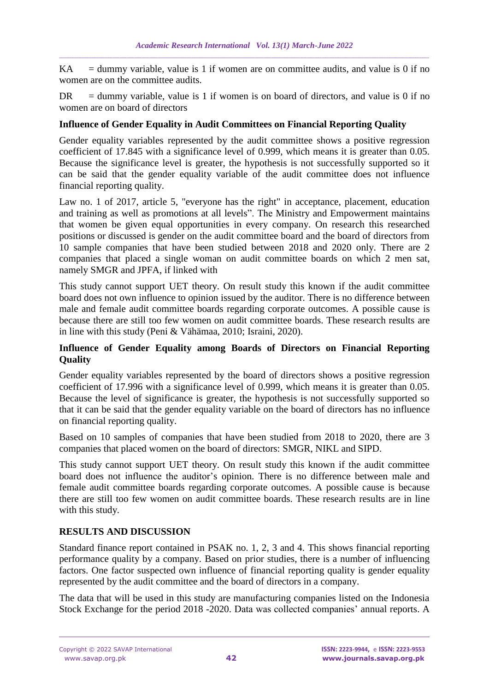$KA =$  dummy variable, value is 1 if women are on committee audits, and value is 0 if no women are on the committee audits.

 $DR =$  dummy variable, value is 1 if women is on board of directors, and value is 0 if no women are on board of directors

## **Influence of Gender Equality in Audit Committees on Financial Reporting Quality**

Gender equality variables represented by the audit committee shows a positive regression coefficient of 17.845 with a significance level of 0.999, which means it is greater than 0.05. Because the significance level is greater, the hypothesis is not successfully supported so it can be said that the gender equality variable of the audit committee does not influence financial reporting quality.

Law no. 1 of 2017, article 5, "everyone has the right" in acceptance, placement, education and training as well as promotions at all levels". The Ministry and Empowerment maintains that women be given equal opportunities in every company. On research this researched positions or discussed is gender on the audit committee board and the board of directors from 10 sample companies that have been studied between 2018 and 2020 only. There are 2 companies that placed a single woman on audit committee boards on which 2 men sat, namely SMGR and JPFA, if linked with

This study cannot support UET theory. On result study this known if the audit committee board does not own influence to opinion issued by the auditor. There is no difference between male and female audit committee boards regarding corporate outcomes. A possible cause is because there are still too few women on audit committee boards. These research results are in line with this study (Peni & Vähämaa, 2010; Israini, 2020).

## **Influence of Gender Equality among Boards of Directors on Financial Reporting Quality**

Gender equality variables represented by the board of directors shows a positive regression coefficient of 17.996 with a significance level of 0.999, which means it is greater than 0.05. Because the level of significance is greater, the hypothesis is not successfully supported so that it can be said that the gender equality variable on the board of directors has no influence on financial reporting quality.

Based on 10 samples of companies that have been studied from 2018 to 2020, there are 3 companies that placed women on the board of directors: SMGR, NIKL and SIPD.

This study cannot support UET theory. On result study this known if the audit committee board does not influence the auditor's opinion. There is no difference between male and female audit committee boards regarding corporate outcomes. A possible cause is because there are still too few women on audit committee boards. These research results are in line with this study.

## **RESULTS AND DISCUSSION**

Standard finance report contained in PSAK no. 1, 2, 3 and 4. This shows financial reporting performance quality by a company. Based on prior studies, there is a number of influencing factors. One factor suspected own influence of financial reporting quality is gender equality represented by the audit committee and the board of directors in a company.

The data that will be used in this study are manufacturing companies listed on the Indonesia Stock Exchange for the period 2018 -2020. Data was collected companies' annual reports. A